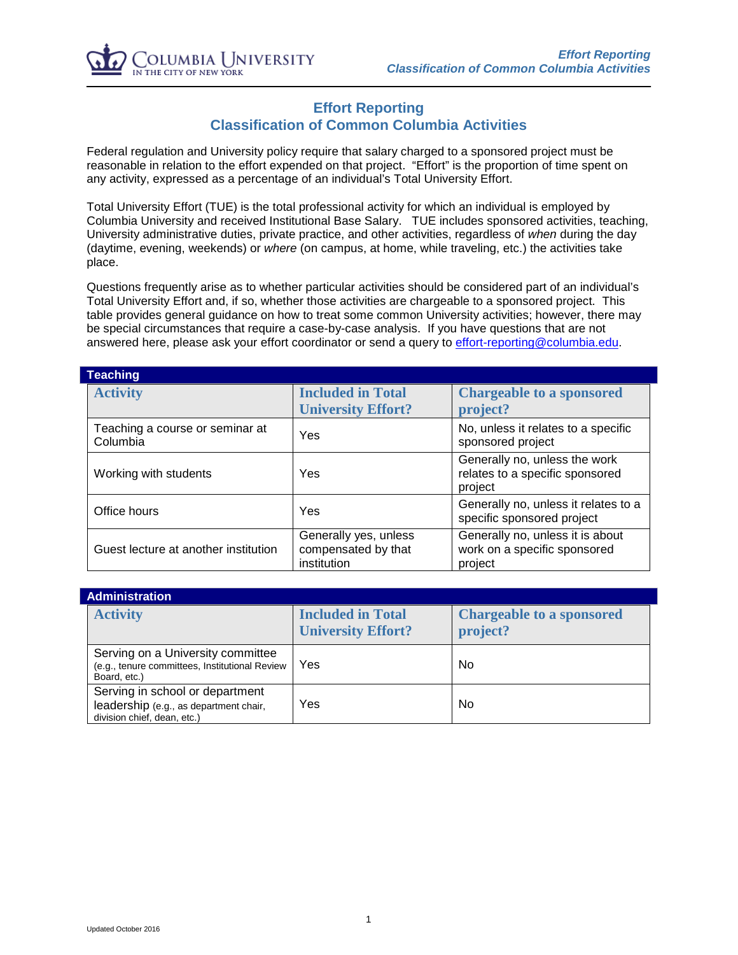

## **Effort Reporting Classification of Common Columbia Activities**

Federal regulation and University policy require that salary charged to a sponsored project must be reasonable in relation to the effort expended on that project. "Effort" is the proportion of time spent on any activity, expressed as a percentage of an individual's Total University Effort.

Total University Effort (TUE) is the total professional activity for which an individual is employed by Columbia University and received Institutional Base Salary. TUE includes sponsored activities, teaching, University administrative duties, private practice, and other activities, regardless of *when* during the day (daytime, evening, weekends) or *where* (on campus, at home, while traveling, etc.) the activities take place.

Questions frequently arise as to whether particular activities should be considered part of an individual's Total University Effort and, if so, whether those activities are chargeable to a sponsored project. This table provides general guidance on how to treat some common University activities; however, there may be special circumstances that require a case-by-case analysis. If you have questions that are not answered here, please ask your effort coordinator or send a query to [effort-reporting@columbia.edu.](mailto:effort-reporting@columbia.edu)

| Teaching                                    |                                                             |                                                                             |  |  |
|---------------------------------------------|-------------------------------------------------------------|-----------------------------------------------------------------------------|--|--|
| <b>Activity</b>                             | <b>Included in Total</b><br><b>University Effort?</b>       | <b>Chargeable to a sponsored</b><br>project?                                |  |  |
| Teaching a course or seminar at<br>Columbia | Yes                                                         | No, unless it relates to a specific<br>sponsored project                    |  |  |
| Working with students                       | Yes                                                         | Generally no, unless the work<br>relates to a specific sponsored<br>project |  |  |
| Office hours                                | Yes                                                         | Generally no, unless it relates to a<br>specific sponsored project          |  |  |
| Guest lecture at another institution        | Generally yes, unless<br>compensated by that<br>institution | Generally no, unless it is about<br>work on a specific sponsored<br>project |  |  |

| <b>Administration</b>                                                                                    |                                                       |                                              |  |  |
|----------------------------------------------------------------------------------------------------------|-------------------------------------------------------|----------------------------------------------|--|--|
| <b>Activity</b>                                                                                          | <b>Included in Total</b><br><b>University Effort?</b> | <b>Chargeable to a sponsored</b><br>project? |  |  |
| Serving on a University committee<br>(e.g., tenure committees, Institutional Review<br>Board, etc.)      | Yes                                                   | No                                           |  |  |
| Serving in school or department<br>leadership (e.g., as department chair,<br>division chief, dean, etc.) | Yes                                                   | <b>No</b>                                    |  |  |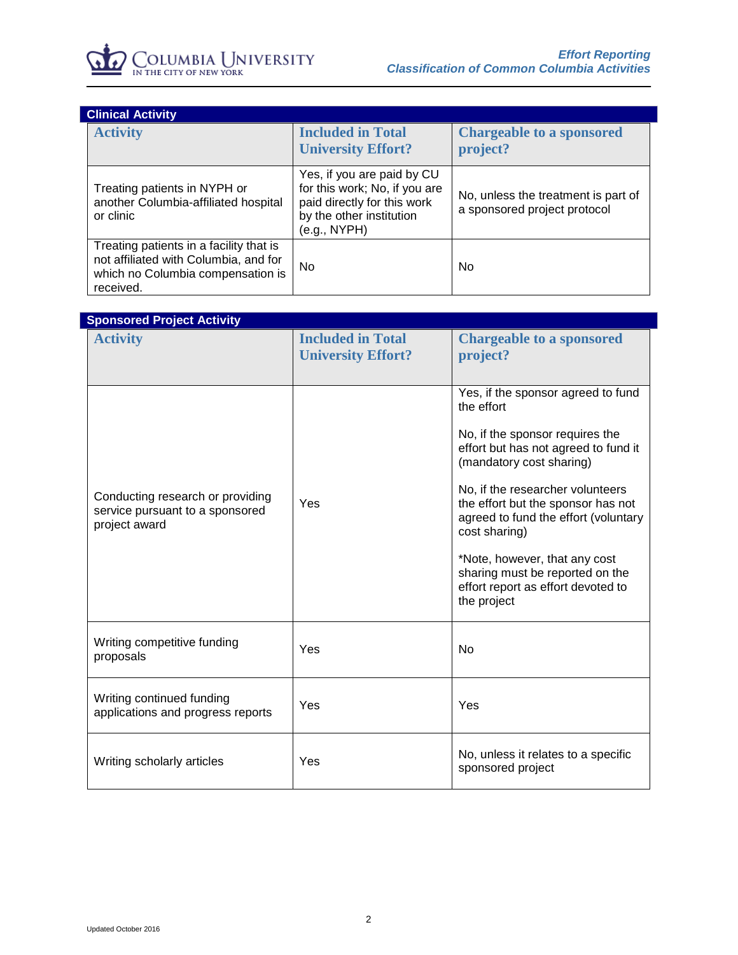

| <b>Clinical Activity</b> |                                                                                                                                    |                                                                                                                                        |                                                                     |  |
|--------------------------|------------------------------------------------------------------------------------------------------------------------------------|----------------------------------------------------------------------------------------------------------------------------------------|---------------------------------------------------------------------|--|
|                          | <b>Activity</b>                                                                                                                    | <b>Included in Total</b><br><b>University Effort?</b>                                                                                  | <b>Chargeable to a sponsored</b><br>project?                        |  |
|                          | Treating patients in NYPH or<br>another Columbia-affiliated hospital<br>or clinic                                                  | Yes, if you are paid by CU<br>for this work; No, if you are<br>paid directly for this work<br>by the other institution<br>(e.g., NYPH) | No, unless the treatment is part of<br>a sponsored project protocol |  |
|                          | Treating patients in a facility that is<br>not affiliated with Columbia, and for<br>which no Columbia compensation is<br>received. | No.                                                                                                                                    | No                                                                  |  |

| <b>Sponsored Project Activity</b>                                                    |                           |                                                                                                                                 |  |  |
|--------------------------------------------------------------------------------------|---------------------------|---------------------------------------------------------------------------------------------------------------------------------|--|--|
| <b>Activity</b>                                                                      | <b>Included in Total</b>  | <b>Chargeable to a sponsored</b>                                                                                                |  |  |
|                                                                                      | <b>University Effort?</b> | project?                                                                                                                        |  |  |
|                                                                                      |                           |                                                                                                                                 |  |  |
|                                                                                      |                           | Yes, if the sponsor agreed to fund<br>the effort                                                                                |  |  |
|                                                                                      |                           | No, if the sponsor requires the<br>effort but has not agreed to fund it<br>(mandatory cost sharing)                             |  |  |
| Conducting research or providing<br>service pursuant to a sponsored<br>project award | Yes                       | No, if the researcher volunteers<br>the effort but the sponsor has not<br>agreed to fund the effort (voluntary<br>cost sharing) |  |  |
|                                                                                      |                           | *Note, however, that any cost<br>sharing must be reported on the<br>effort report as effort devoted to<br>the project           |  |  |
| Writing competitive funding<br>proposals                                             | Yes                       | No                                                                                                                              |  |  |
| Writing continued funding<br>applications and progress reports                       | Yes                       | Yes                                                                                                                             |  |  |
| Writing scholarly articles                                                           | Yes                       | No, unless it relates to a specific<br>sponsored project                                                                        |  |  |